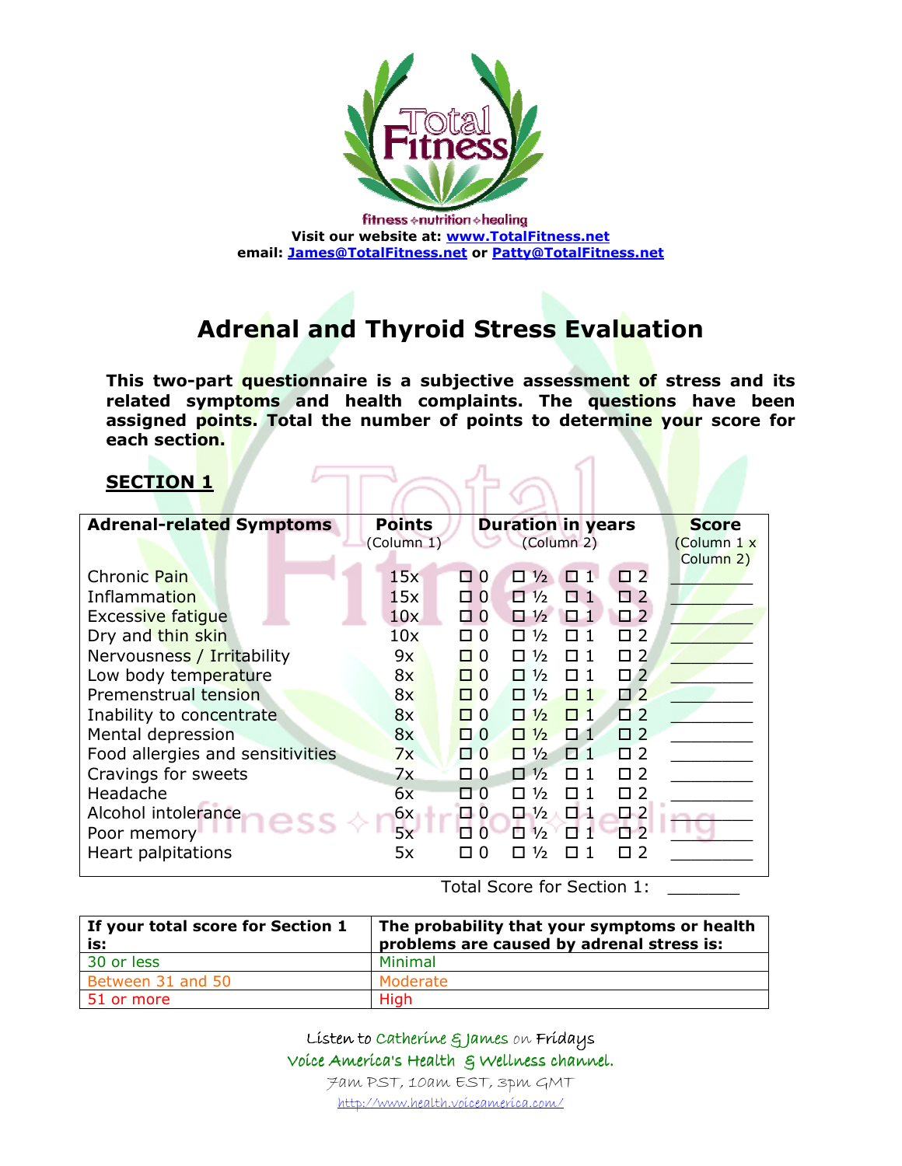

fitness  $\diamond$  nutrition  $\diamond$  healing Visit our website at: www.TotalFitness.net email: James@TotalFitness.net or Patty@TotalFitness.net

# Adrenal and Thyroid Stress Evaluation

This two-part questionnaire is a subjective assessment of stress and its related symptoms and health complaints. The questions have been assigned points. Total the number of points to determine your score for each section.

TPAta1

#### SECTION 1

| <b>Adrenal-related Symptoms</b>  | <b>Points</b> | <b>Duration in years</b>                               | <b>Score</b> |
|----------------------------------|---------------|--------------------------------------------------------|--------------|
|                                  | (Column 1)    | (Column 2)                                             | (Column 1 x  |
|                                  |               |                                                        | Column 2)    |
| Chronic Pain                     | 15x           | $\square$ 2<br>$\Box$ ½<br>□ 0<br>П 1.                 |              |
| Inflammation                     | 15x           | $\square$ 2<br>$\Box$ 0<br>$\Box$ 1/2<br>п             |              |
| <b>Excessive fatique</b>         | 10x           | П. 1<br>$\Box$ 2<br>$\Box$ $\frac{1}{2}$<br>□ 0        |              |
| Dry and thin skin                | 10x           | П.<br>-2<br>$\Box$ 0<br>$\frac{1}{2}$<br>п<br>П        |              |
| Nervousness / Irritability       | 9x            | <b>N</b> 2<br>п ი<br>$\frac{1}{2}$<br>п<br>П           |              |
| Low body temperature             | 8x            | $\Box$ 2<br>$\Box$ $\Omega$<br>П<br>$\frac{1}{2}$<br>п |              |
| Premenstrual tension             | 8x            | $\square$ 2<br>$\Box$ 0<br>$\frac{1}{2}$<br>п.<br>П    |              |
| Inability to concentrate         | 8x            | $\square$ 2<br>ПИ<br>$\Box$ 0<br>$\frac{1}{2}$<br>п.   |              |
| Mental depression                | 8x            | $\Box$<br>$\Box$ 0<br>$\frac{1}{2}$<br>П 1<br>п        |              |
| Food allergies and sensitivities | 7x            | $\Box$<br>$\Box$ 0<br>$\Box$ 1/ <sub>2</sub><br>П 1    |              |
| Cravings for sweets              | 7x            | $\Box$ 0<br>П2<br>$\Box$ 1/2<br>П 1                    |              |
| Headache                         | 6x            | $\frac{1}{2}$<br>П 1<br>0.<br>-2<br>$\Box$ $0$<br>п    |              |
| Alcohol intolerance              | 6x            | 다시<br>□ 0<br>$\Box$ 1/ <sub>2</sub><br>$\Box$ 2        |              |
| Poor memory                      | 5x            | $\frac{1}{2}$<br>っ<br>O<br>п<br>п                      |              |
| Heart palpitations               | 5x            | ⅓<br>$\Omega$<br>п<br>п<br>П<br>H                      |              |
|                                  |               |                                                        |              |

Total Score for Section 1:

| If your total score for Section 1<br>is: | The probability that your symptoms or health<br>problems are caused by adrenal stress is: |
|------------------------------------------|-------------------------------------------------------------------------------------------|
| 30 or less                               | Minimal                                                                                   |
| Between 31 and 50                        | Moderate                                                                                  |
| 51 or more                               | High                                                                                      |

Listen to Catherine & James on Fridays Voice America's Health & Voice America's Health & Wellness channel. Wellness channel. 7am PST, 10am EST, 3pm GMT

http://www.health.voiceamerica.com/